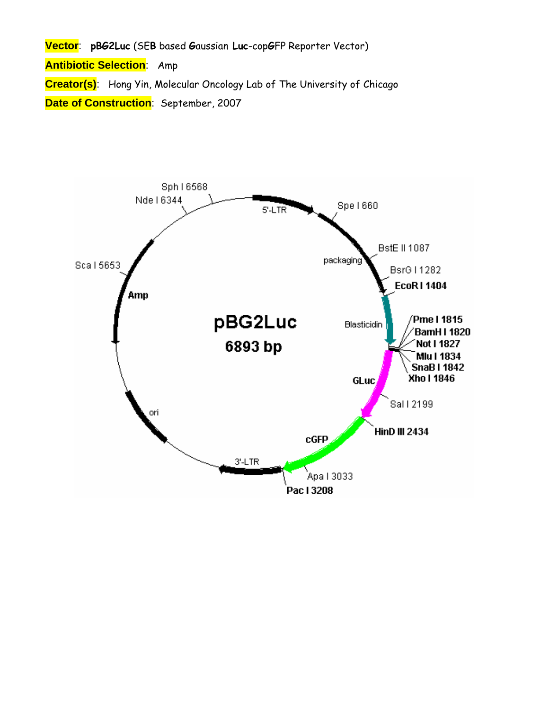**Vector**: **pBG2Luc** (SE**B** based **G**aussian **Luc**-cop**G**FP Reporter Vector) **Antibiotic Selection**: Amp **Creator(s)**: Hong Yin, Molecular Oncology Lab of The University of Chicago **Date of Construction**: September, 2007

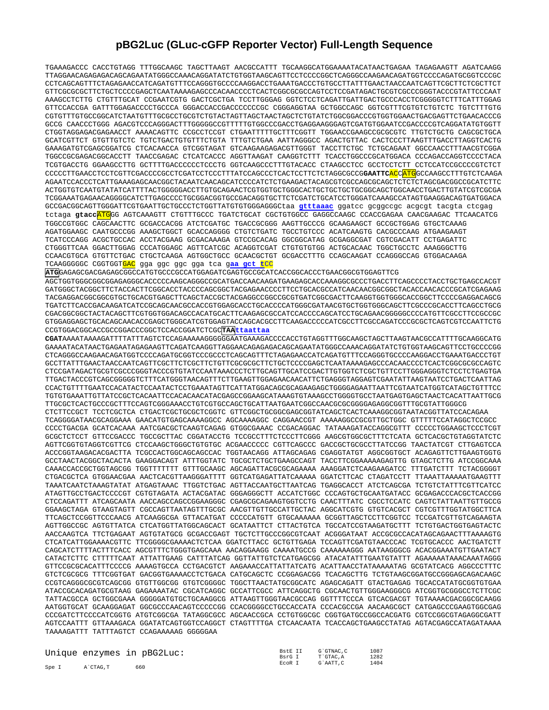## **pBG2Luc (GLuc-cGFP Reporter Vector) Full-Length Sequence**

TGAAAGACCC CACCTGTAGG TTTGGCAAGC TAGCTTAAGT AACGCCATTT TGCAAGGCATGGAAAATACATAACTGAGAA TAGAGAAGTT AGATCAAGG TTAGGAACAGAGAGACAGCAGAATATGGGCCAAACAGGATATCTGTGGTAAGCAGTTCCTCCCCGGCTCAGGGCCAAGAACAGATGGTCCCCAGATGCGGTCCCGC CCTCAGCAGTTTCTAGAGAACCATCAGATGTTTCCAGGGTGCCCCAAGGACCTGAAATGACCCTGTGCCTTATTTGAACTAACCAATCAGTTCGCTTCTCGCTTCT GTTCGCGCGCTTCTGCTCCCCGAGCTCAATAAAAGAGCCCACAACCCCTCACTCGGCGCGCCAGTCCTCCGATAGACTGCGTCGCCCGGGTACCCGTATTCCCAAT AAAGCCTCTTG CTGTTTGCAT CCGAATCGTG GACTCGCTGA TCCTTGGGAG GGTCTCCTCAGATTGATTGACTGCCCACCTCGGGGGTCTTTCATTTGGAG GTTCCACCGA GATTTGGAGACCCCTGCCCA GGGACCACCGACCCCCCCGC CGGGAGGTAA GCTGGCCAGC GGTCGTTTCGTGTCTGTCTC TGTCTTTGTG CGTGTTTGTGCCGGCATCTAATGTTTGCGCCTGCGTCTGTACTAGTTAGCTAACTAGCTCTGTATCTGGCGGACCCGTGGTGGAACTGACGAGTTCTGAACACCCG GCCG CAACCCTGGG AGACGTCCCAGGGACTTTGGGGGCCGTTTTTGTGGCCCGACCTGAGGAAGGGAGTCGATGTGGAATCCGACCCCGTCAGGATATGTGGTT CTGGTAGGAGACGAGAACCT AAAACAGTTC CCGCCTCCGT CTGAATTTTTGCTTTCGGTT TGGAACCGAAGCCGCGCGTC TTGTCTGCTG CAGCGCTGCA GCATCGTTCT GTGTTGTCTC TGTCTGACTGTGTTTCTGTA TTTGTCTGAA AATTAGGGCC AGACTGTTAC CACTCCCTTAAGTTTGACCTTAGGTCACTG GAAAGATGTCGAGCGGATCG CTCACAACCA GTCGGTAGAT GTCAAGAAGAGACGTTGGGT TACCTTCTGC TCTGCAGAAT GGCCAACCTTTAACGTCGGA TGGCCGCGAGACGGCACCTT TAACCGAGAC CTCATCACCC AGGTTAAGAT CAAGGTCTTT TCACCTGGCCCGCATGGACA CCCAGACCAGGTCCCCTACA TCGTGACCTG GGAAGCCTTG GCTTTTGACCCCCCTCCCTG GGTCAAGCCCTTTGTACACC CTAAGCCTCC GCCTCCTCTT CCTCCATCCGCCCCGTCTCT CCCCCTTGAACCTCCTCGTTCGACCCCGCCTCGATCCTCCCTTTATCCAGCCCTCACTCCTTCTCTAGGCGCCG**GAATTC**ACCATGGCCAAGCCTTTGTCTCAAGA AGAATCCACCCTCATTGAAAGAGCAACGGCTACAATCAACAGCATCCCCATCTCTGAAGACTACAGCGTCGCCAGCGCAGCTCTCTCTAGCGACGGCCGCATCTTC ACTGGTGTCAATGTATATCATTTTACTGGGGGACCTTGTGCAGAACTCGTGGTGCTGGGCACTGCTGCTGCTGCGGCAGCTGGCAACCTGACTTGTATCGTCGCGA TCGGAAATGAGAACAGGGGCATCTTGAGCCCCTGCGGACGGTGCCGACAGGTGCTTCTCGATCTGCATCCTGGGATCAAAGCCATAGTGAAGGACAGTGATGGACA GCCGACGGCAGTTGGGATTCGTGAATTGCTGCCCTCTGGTTATGTGTGGGAGGGCtaa **gtttaaac** ggatcc gcggccgc acgcgt tacgta ctcgag tctaga **gtacc**ATGGG AGTCAAAGTT CTGTTTGCCC TGATCTGCAT CGCTGTGGCC GAGGCCAAGC CCACCGAGAA CAACGAAGAC TTCAACATCG TGGCCGTGGC CAGCAACTTC GCGACCACGG ATCTCGATGC TGACCGCGGG AAGTTGCCCG GCAAGAAGCT GCCGCTGGAG GTGCTCAAAG AGATGGAAGC CAATGCCCGG AAAGCTGGCT GCACCAGGGG CTGTCTGATC TGCCTGTCCC ACATCAAGTG CACGCCCAAG ATGAAGAAGT TCATCCCAGG ACGCTGCCAC ACCTACGAAG GCGACAAAGA GTCCGCACAG GGCGGCATAG GCGAGGCGAT CGTCGACATT CCTGAGATTC CTGGGTTCAA GGACTTGGAG CCCATGGAGC AGTTCATCGC ACAGGTCGAT CTGTGTGTGG ACTGCACAAC TGGCTGCCTC AAAGGGCTTG CCAACGTGCA GTGTTCTGAC CTGCTCAAGA AGTGGCTGCC GCAACGCTGT GCGACCTTTG CCAGCAAGAT CCAGGGCCAG GTGGACAAGA TCAAGGGGGC CGGTGGTGAC gga ggc ggc gga tca g**aa gct t**CC **ATG**GAGAGCGACGAGAGCGGCCATGTGCCCGCCATGGAGATCGAGTGCCGCATCACCGGCACCCTGAACGGCGTGGAGTTCG AGCTGGTGGGCGGCGGAGAGGGCACCCCCAAGCAGGGCCGCATGACCAACAAGATGAAGAGCACCAAAGGCGCCCTGACCTTCAGCCCCTACCTGCTGAGCCACGT GATGGGCTACGGCTTCTACCACTTCGGCACCTACCCCAGCGGCTACGAGAACCCCTTCCTGCACGCCATCAACAACGGCGGCTACACCAACACCCGCATCGAGAAG TACGAGGACGGCGGCGTGCTGCACGTGAGCTTCAGCTACCGCTACGAGGCCGGCCGCGTGATCGGCGACTTCAAGGTGGTGGGCACCGGCTTCCCCGAGGACAGCG TGATCTTCACCGACAAGATCATCCGCAGCAACGCCACCGTGGAGCACCTGCACCCCATGGGCGATAACGTGCTGGTGGGCAGCTTCGCCCGCACCTTCAGCCTGCG CGACGGCGGCTACTACAGCTTCGTGGTGGACAGCCACATGCACTTCAAGAGCGCCATCCACCCCAGCATCCTGCAGAACGGGGGCCCCATGTTCGCCTTCCGCCGC GTGGAGGAGCTGCACAGCAACACCGAGCTGGGCATCGTGGAGTACCAGCACGCCTTCAAGACCCCCATCGCCTTCGCCAGATCCCGCGCTCAGTCGTCCAATTCTG CCGTGGACGGCACCGCCGGACCCGGCTCCACCGGATCTCGC**TAAttaattaa CGAT**AAAATAAAAGATTTTATTTAGTCTCCAGAAAAAGGGGGGAATGAAAGACCCCACCTGTAGGTTTGGCAAGCTAGCTTAAGTAACGCCATTTTGCAAGGCATG GAAAATACATAACTGAGAATAGAGAAGTTCAGATCAAGGTTAGGAACAGAGAGACAGCAGAATATGGGCCAAACAGGATATCTGTGGTAAGCAGTTCCTGCCCCGG CTCAGGGCCAAGAACAGATGGTCCCCAGATGCGGTCCCGCCCTCAGCAGTTTCTAGAGAACCATCAGATGTTTCCAGGGTGCCCCAAGGACCTGAAATGACCCTGT GCCTTATTTGAACTAACCAATCAGTTCGCTTCTCGCTTCTGTTCGCGCGCTTCTGCTCCCCGAGCTCAATAAAAGAGCCCACAACCCCTCACTCGGCGCGCCAGTC CTCCGATAGACTGCGTCGCCCGGGTACCCGTGTATCCAATAAACCCTCTTGCAGTTGCATCCGACTTGTGGTCTCGCTGTTCCTTGGGAGGGTCTCCTCTGAGTGA TTGACTACCCGTCAGCGGGGGTCTTTCATGGGTAACAGTTTCTTGAAGTTGGAGAACAACATTCTGAGGGTAGGAGTCGAATATTAAGTAATCCTGACTCAATTAG CCACTGTTTTGAATCCACATACTCCAATACTCCTGAAATAGTTCATTATGGACAGCGCAGAAGAGCTGGGGAGAATTAATTCGTAATCATGGTCATAGCTGTTTCC TGTGTGAAATTGTTATCCGCTCACAATTCCACACAACATACGAGCCGGAAGCATAAAGTGTAAAGCCTGGGGTGCCTAATGAGTGAGCTAACTCACATTAATTGCG TTGCGCTCACTGCCCGCTTTCCAGTCGGGAAACCTGTCGTGCCAGCTGCATTAATGAATCGGCCAACGCGCGGGGAGAGGCGGTTTGCGTATTGGGCG CTCTTCCGCT TCCTCGCTCA CTGACTCGCTGCGCTCGGTC GTTCGGCTGCGGCGAGCGGTATCAGCTCACTCAAAGGCGGTAATACGGTTATCCACAGAA TCAGGGGATAACGCAGGAAA GAACATGTGAGCAAAAGGCC AGCAAAAGGC CAGGAACCGT AAAAAGGCCGCGTTGCTGGC GTTTTTCCATAGGCTCCGCC CCCCTGACGA GCATCACAAA AATCGACGCTCAAGTCAGAG GTGGCGAAAC CCGACAGGAC TATAAAGATACCAGGCGTTT CCCCCTGGAAGCTCCCTCGT GCGCTCTCCT GTTCCGACCC TGCCGCTTAC CGGATACCTG TCCGCCTTTCTCCCTTCGGG AAGCGTGGCGCTTTCTCATA GCTCACGCTGTAGGTATCTC AGTTCGGTGTAGGTCGTTCG CTCCAAGCTGGGCTGTGTGC ACGAACCCCC CGTTCAGCCC GACCGCTGCGCCTTATCCGG TAACTATCGT CTTGAGTCCA ACCCGGTAAGACACGACTTA TCGCCACTGGCAGCAGCCAC TGGTAACAGG ATTAGCAGAG CGAGGTATGT AGGCGGTGCT ACAGAGTTCTTGAAGTGGTG GCCTAACTACGGCTACACTA GAAGGACAGT ATTTGGTATC TGCGCTCTGCTGAAGCCAGT TACCTTCGGAAAAAGAGTTG GTAGCTCTTG ATCCGGCAAA CAAACCACCGCTGGTAGCGG TGGTTTTTTT GTTTGCAAGC AGCAGATTACGCGCAGAAAA AAAGGATCTCAAGAAGATCC TTTGATCTTT TCTACGGGGT CTGACGCTCA GTGGAACGAA AACTCACGTTAAGGGATTTT GGTCATGAGATTATCAAAAA GGATCTTCAC CTAGATCCTT TTAAATTAAAAATGAAGTTT TAAATCAATCTAAAGTATAT ATGAGTAAAC TTGGTCTGAC AGTTACCAATGCTTAATCAG TGAGGCACCT ATCTCAGCGA TCTGTCTATTTCGTTCATCC ATAGTTGCCTGACTCCCCGT CGTGTAGATA ACTACGATAC GGGAGGGCTT ACCATCTGGC CCCAGTGCTGCAATGATACC GCGAGACCCACGCTCACCGG CTCCAGATTT ATCAGCAATA AACCAGCCAGCCGGAAGGGC CGAGCGCAGAAGTGGTCCTG CAACTTTATC CGCCTCCATC CAGTCTATTAATTGTTGCCG GGAAGCTAGA GTAAGTAGTT CGCCAGTTAATAGTTTGCGC AACGTTGTTGCCATTGCTAC AGGCATCGTG GTGTCACGCT CGTCGTTTGGTATGGCTTCA TTCAGCTCCGGTTCCCAACG ATCAAGGCGA GTTACATGAT CCCCCATGTT GTGCAAAAAA GCGGTTAGCTCCTTCGGTCC TCCGATCGTTGTCAGAAGTA AGTTGGCCGC AGTGTTATCA CTCATGGTTATGGCAGCACT GCATAATTCT CTTACTGTCA TGCCATCCGTAAGATGCTTT TCTGTGACTGGTGAGTACTC AACCAAGTCA TTCTGAGAAT AGTGTATGCG GCGACCGAGT TGCTCTTGCCCGGCGTCAAT ACGGGATAAT ACCGCGCCACATAGCAGAACTTTAAAAGTG CTCATCATTGGAAAACGTTC TTCGGGGCGAAAACTCTCAA GGATCTTACC GCTGTTGAGA TCCAGTTCGATGTAACCCAC TCGTGCACCC AACTGATCTT CAGCATCTTTTACTTTCACC AGCGTTTCTGGGTGAGCAAA AACAGGAAGG CAAAATGCCG CAAAAAAGGG AATAAGGGCG ACACGGAAATGTTGAATACT CATACTCTTC CTTTTTCAAT ATTATTGAAG CATTTATCAG GGTTATTGTCTCATGAGCGG ATACATATTTGAATGTATTT AGAAAAATAAACAAATAGGG GTTCCGCGCACATTTCCCCG AAAAGTGCCA CCTGACGTCT AAGAAACCATTATTATCATG ACATTAACCTATAAAAATAG GCGTATCACG AGGCCCTTTC GTCTCGCGCG TTTCGGTGAT GACGGTGAAAACCTCTGACA CATGCAGCTC CCGGAGACGG TCACAGCTTG TCTGTAAGCGGATGCCGGGAGCAGACAAGC CCGTCAGGGCGCGTCAGCGG GTGTTGGCGG GTGTCGGGGC TGGCTTAACTATGCGGCATC AGAGCAGATT GTACTGAGAG TGCACCATATGCGGTGTGAA ATACCGCACAGATGCGTAAG GAGAAAATAC CGCATCAGGC GCCATTCGCC ATTCAGGCTG CGCAACTGTTGGGAAGGGCG ATCGGTGCGGGCCTCTTCGC TATTACGCCA GCTGGCGAAA GGGGGATGTGCTGCAAGGCG ATTAAGTTGGGTAACGCCAG GGTTTTCCCA GTCACGACGT TGTAAAACGACGGCGCAAGG AATGGTGCAT GCAAGGAGAT GGCGCCCAACAGTCCCCCGG CCACGGGGCCTGCCACCATA CCCACGCCGA AACAAGCGCT CATGAGCCCGAAGTGGCGAG CCCGATCTTCCCCATCGGTG ATGTCGGCGA TATAGGCGCC AGCAACCGCA CCTGTGGCGC CGGTGATGCCGGCCACGATG CGTCCGGCGTAGAGGCGATT AGTCCAATTT GTTAAAGACA GGATATCAGTGGTCCAGGCT CTAGTTTTGA CTCAACAATA TCACCAGCTGAAGCCTATAG AGTACGAGCCATAGATAAAA TAAAAGATTT TATTTAGTCT CCAGAAAAAG GGGGGAA

|       |          | Unique enzymes in pBG2Luc: | BstE II<br>BsrG T | G`GTNAC.C<br>T`GTAC.A | 1087<br>1282 |
|-------|----------|----------------------------|-------------------|-----------------------|--------------|
| Spe I | A`CTAG.T | 660                        | ECOR I            | G`AATT.C              | 1404         |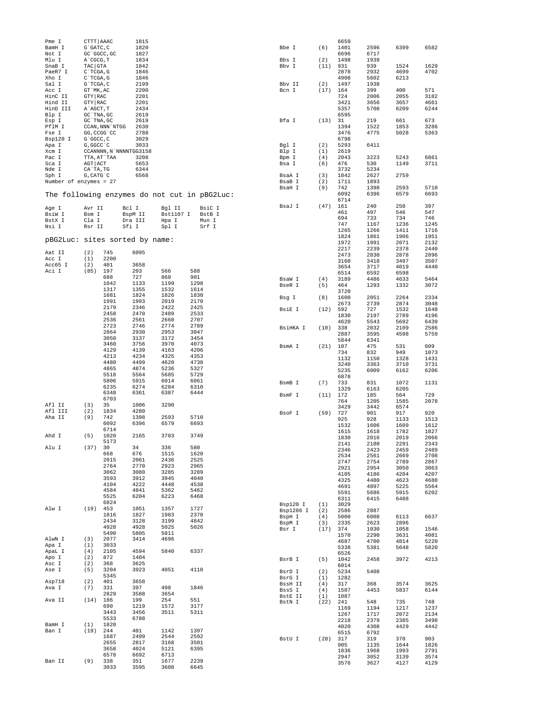| Pme I                             | CTTT AAAC                 |              | 1815                   |              |                                              |                  |                   | 6659         |              |              |              |
|-----------------------------------|---------------------------|--------------|------------------------|--------------|----------------------------------------------|------------------|-------------------|--------------|--------------|--------------|--------------|
| BamH I<br>Not I                   | G`GATC, C<br>GC 'GGCC, GC |              | 1820<br>1827           |              |                                              | Bbe I            | (6)               | 1401<br>6696 | 2596<br>6717 | 6399         | 6582         |
| Mlu I                             | A`CGCG, T                 |              | 1834                   |              |                                              | Bbs I            | (2)               | 1498         | 1939         |              |              |
| SnaB I                            | TAC GTA                   |              | 1842                   |              |                                              | Bbv I            | (11)              | 931          | 939          | 1524         | 1629         |
| PaeR7 I                           | $C$ TCGA, G               |              | 1846                   |              |                                              |                  |                   | 2878         | 2932         | 4699         | 4702         |
| Xho I                             | $C^{\dagger}TCGA$ , G     |              | 1846                   |              |                                              |                  |                   | 4908         | 5602         | 6213         |              |
| Sal I                             | G`TCGA, C                 |              | 2199                   |              |                                              | Bbv II<br>Bcn I  | (2)<br>$(17)$ 164 | 1497         | 1938<br>399  |              | 571          |
| Acc I<br>HinC II                  | GT `MK, AC<br>GTY RAC     |              | 2200<br>2201           |              |                                              |                  |                   | 724          | 2006         | 400<br>2055  | 3182         |
| Hind II                           | GTY RAC                   |              | 2201                   |              |                                              |                  |                   | 3421         | 3656         | 3657         | 4661         |
| HinD III                          | A AGCT, T                 |              | 2434                   |              |                                              |                  |                   | 5357         | 5708         | 6209         | 6244         |
| Blp I                             | GC `TNA, GC               |              | 2619                   |              |                                              |                  |                   | 6595         |              |              |              |
| Esp I                             | GC TNA, GC                |              | 2619                   |              |                                              | Bfa I            | (13)              | 31           | 219          | 661          | 673          |
| PflM I                            | CCAN, NNN 'NTGG           |              | 2630                   |              |                                              |                  |                   | 1394         | 1522         | 1853         | 3286         |
| Fse I<br>Bsp120 I                 | GG, CCGG 'CC<br>G`GGCC, C |              | 2788<br>3029           |              |                                              |                  |                   | 3476<br>6798 | 4775         | 5028         | 5363         |
| Apa I                             | G, GGCC `C                |              | 3033                   |              |                                              | Bql I            | (2)               | 5293         | 6411         |              |              |
| Xcm I                             |                           |              | CCANNNN, N`NNNNTGG3158 |              |                                              | Blp I            | (1)               | 2619         |              |              |              |
| Pac I                             | TTA, AT`TAA               |              | 3208                   |              |                                              | Bpm I            | (4)               | 2043         | 3223         | 5243         | 6861         |
| Sca I                             | AGT ACT                   |              | 5653                   |              |                                              | Bsa I            | (6)               | 476          | 530          | 1149         | 3711         |
| Nde I                             | CA`TA, TG                 |              | 6344                   |              |                                              |                  |                   | 3732         | 5234         |              |              |
| Sph I<br>Number of enzymes = $27$ | $G$ , CAT $G$ $C$         |              | 6568                   |              |                                              | BsaA I<br>BsaB I | (3)<br>(2)        | 1842<br>1711 | 2627<br>1893 | 2759         |              |
|                                   |                           |              |                        |              |                                              | BsaH I           | (9)               | 742          | 1398         | 2593         | 5710         |
|                                   |                           |              |                        |              | The following enzymes do not cut in pBG2Luc: |                  |                   | 6092         | 6396         | 6579         | 6693         |
|                                   |                           |              |                        |              |                                              |                  |                   | 6714         |              |              |              |
| Age I                             | Avr II                    |              | Bcl I                  | Bgl II       | BsiC I                                       | BsaJ I           | (47)              | 161          | 240          | 250          | 397          |
| BsiW I                            | Bsm I                     |              | BspM II                | Bst1107 I    | BstB I                                       |                  |                   | 461          | 497          | 546          | 547          |
| BstX I                            | Cla I                     |              | Dra III                | Hpa I        | Mun I                                        |                  |                   | 694          | 733          | 734          | 746          |
| Nsi I                             | Rsr II                    |              | Sfi I                  | Spl I        | Srf I                                        |                  |                   | 747<br>1265  | 1167         | 1236<br>1411 | 1245<br>1716 |
|                                   |                           |              |                        |              |                                              |                  |                   | 1824         | 1266<br>1861 | 1906         | 1951         |
| pBG2Luc: sites sorted by name:    |                           |              |                        |              |                                              |                  |                   | 1972         | 1991         | 2071         | 2132         |
|                                   |                           |              |                        |              |                                              |                  |                   | 2217         | 2239         | 2378         | 2440         |
| Aat II                            | (2)                       | 745<br>2200  | 6095                   |              |                                              |                  |                   | 2473         | 2830         | 2878         | 2896         |
| Acc I<br>Acc65 I                  | (1)<br>(2)                | 401          | 3658                   |              |                                              |                  |                   | 3160         | 3418         | 3497         | 3507         |
| Aci I                             | (85)                      | 197          | 203                    | 566          | 588                                          |                  |                   | 3654         | 3717         | 4019         | 4440         |
|                                   |                           | 688          | 727                    | 860          | 901                                          | BsaW I           | (4)               | 6514<br>3189 | 6592<br>4486 | 6598<br>4633 | 5464         |
|                                   |                           | 1042         | 1133                   | 1199         | 1298                                         | BseR I           | (5)               | 464          | 1293         | 1332         | 3072         |
|                                   |                           | 1317         | 1355                   | 1532         | 1614                                         |                  |                   | 3720         |              |              |              |
|                                   |                           | 1681         | 1824                   | 1826         | 1830                                         | Bsg I            | (8)               | 1600         | 2051         | 2264         | 2334         |
|                                   |                           | 1991         | 1993                   | 2019         | 2170                                         |                  |                   | 2673         | 2739         | 2874         | 3048         |
|                                   |                           | 2179<br>2458 | 2346<br>2470           | 2422<br>2489 | 2425<br>2533                                 | BsiE I           | (12)              | 592          | 727          | 1532         | 1648         |
|                                   |                           | 2536         | 2561                   | 2668         | 2707                                         |                  |                   | 1830         | 2197         | 2789         | 4196         |
|                                   |                           | 2723         | 2746                   | 2774         | 2789                                         | BsiHKA I         | (10)              | 4620<br>338  | 5543<br>2032 | 5692<br>2109 | 6439<br>2586 |
|                                   |                           | 2864         | 2930                   | 2953         | 3047                                         |                  |                   | 2887         | 3595         | 4598         | 5759         |
|                                   |                           | 3050         | 3137                   | 3172         | 3454                                         |                  |                   | 5844         | 6341         |              |              |
|                                   |                           | 3460         | 3756                   | 3970         | 4073                                         | BsmA I           | (21)              | 107          | 475          | 531          | 609          |
|                                   |                           | 4129         | 4139                   | 4163         | 4206                                         |                  |                   | 734          | 832          | 949          | 1073         |
|                                   |                           | 4213         | 4234                   | 4325         | 4353                                         |                  |                   | 1132         | 1150         | 1328         | 1431         |
|                                   |                           | 4480<br>4865 | 4499<br>4874           | 4620<br>5236 | 4730<br>5327                                 |                  |                   | 3240         | 3363         | 3710         | 3731         |
|                                   |                           | 5518         | 5564                   | 5685         | 5729                                         |                  |                   | 5235         | 6009         | 6162         | 6206         |
|                                   |                           | 5806         | 5915                   | 6014         | 6061                                         |                  | (7)               | 6878<br>733  | 831          | 1072         | 1131         |
|                                   |                           | 6235         | 6274                   | 6284         | 6310                                         | BsmB I           |                   | 1329         | 6163         | 6205         |              |
|                                   |                           | 6348         | 6361                   | 6387         | 6444                                         | BsmF I           | (11)              | 172          | 185          | 564          | 729          |
|                                   |                           | 6703         |                        |              |                                              |                  |                   | 764          | 1205         | 1585         | 2078         |
| Afl II<br>Afl III                 | (3)                       | 35           | 1006                   | 3290         |                                              |                  |                   | 3429         | 3442         | 6574         |              |
| Aha II                            | (2)<br>(9)                | 1834<br>742  | 4280<br>1398           | 2593         | 5710                                         | BsoF I           | (59)              | 727          | 901          | 917          | 920          |
|                                   |                           | 6092         | 6396                   | 6579         | 6693                                         |                  |                   | 925          | 928          | 1133         | 1513         |
|                                   |                           | 6714         |                        |              |                                              |                  |                   | 1532<br>1615 | 1606<br>1618 | 1609<br>1782 | 1612<br>1827 |
| Ahd I                             | (5)                       | 1020         | 2165                   | 3703         | 3749                                         |                  |                   | 1830         | 2016         | 2019         | 2066         |
|                                   |                           | 5173         |                        |              |                                              |                  |                   | 2141         | 2180         | 2291         | 2343         |
| Alu I                             | (37)                      | 30           | 34                     | 336          | 580                                          |                  |                   | 2346         | 2423         | 2459         | 2489         |
|                                   |                           | 668<br>2015  | 676<br>2061            | 1515<br>2436 | 1620<br>2525                                 |                  |                   | 2534         | 2561         | 2669         | 2708         |
|                                   |                           | 2764         | 2770                   | 2923         | 2965                                         |                  |                   | 2747         | 2754         | 2789         | 2867         |
|                                   |                           | 3062         | 3080                   | 3285         | 3289                                         |                  |                   | 2921         | 2954         | 3050         | 3063         |
|                                   |                           | 3593         | 3912                   | 3945         | 4040                                         |                  |                   | 4105<br>4325 | 4186<br>4480 | 4204<br>4623 | 4207<br>4688 |
|                                   |                           | 4104         | 4222                   | 4448         | 4538                                         |                  |                   | 4691         | 4897         | 5225         | 5564         |
|                                   |                           | 4584         | 4841                   | 5362         | 5462                                         |                  |                   | 5591         | 5686         | 5915         | 6202         |
|                                   |                           | 5525<br>6824 | 6204                   | 6223         | 6468                                         |                  |                   | 6311         | 6415         | 6488         |              |
| Alw I                             | $(19)$ 453                |              | 1051                   | 1357         | 1727                                         | Bsp120 I         | (1)               | 3029         |              |              |              |
|                                   |                           | 1816         | 1827                   | 1983         | 2370                                         | Bsp1286 I        | (2)               | 2586         | 2887         |              |              |
|                                   |                           | 2434         | 3128                   | 3199         | 4842                                         | BspH I<br>BspM I | (4)<br>(3)        | 5000<br>2335 | 6008<br>2623 | 6113<br>2896 | 6637         |
|                                   |                           | 4928         | 4928                   | 5025         | 5026                                         | Bsr I            | (17)              | 374          | 1030         | 1058         | 1546         |
|                                   |                           | 5490         | 5805                   | 5811         |                                              |                  |                   | 1570         | 2290         | 3631         | 4081         |
| AlwN I                            | (3)                       | 2077         | 3414                   | 4696         |                                              |                  |                   | 4687         | 4700         | 4814         | 5220         |
| Apa I<br>ApaL I                   | (1)<br>(4)                | 3033<br>2105 | 4594                   | 5840         | 6337                                         |                  |                   | 5338         | 5381         | 5648         | 5820         |
| Apo I                             | (2)                       | 872          | 1404                   |              |                                              |                  |                   | 6526         |              |              |              |
| Asc I                             | (2)                       | 368          | 3625                   |              |                                              | BsrB I           | (5)               | 1042<br>6014 | 2458         | 3972         | 4213         |
| Ase I                             | (5)                       | 3204         | 3923                   | 4051         | 4110                                         | BsrD I           | (2)               | 5234         | 5408         |              |              |
|                                   |                           | 5345         |                        |              |                                              | BsrG I           | (1)               | 1282         |              |              |              |
| Asp718                            | (2)                       | 401          | 3658                   |              |                                              | BssH II          | (4)               | 317          | 368          | 3574         | 3625         |
| Ava I                             | (7)                       | 331          | 397                    | 498          | 1846                                         | BssS I           | (4)               | 1587         | 4453         | 5837         | 6144         |
| Ava II                            | $(14)$ 186                | 2829         | 3588<br>199            | 3654<br>254  | 551                                          | BstE II          | (1)               | 1087         |              |              |              |
|                                   |                           | 690          | 1219                   | 1572         | 3177                                         | BstN I           | $(22)$ 241        |              | 548          | 735          | 748          |
|                                   |                           | 3443         | 3456                   | 3511         | 5311                                         |                  |                   | 1169<br>1267 | 1194<br>1717 | 1217<br>2072 | 1237<br>2134 |
|                                   |                           | 5533         | 6788                   |              |                                              |                  |                   | 2218         | 2379         | 2385         | 3498         |
| BamH I                            | (1)                       | 1820         |                        |              |                                              |                  |                   | 4020         | 4308         | 4429         | 4442         |
| Ban I                             | $(19)$ 244                |              | 401                    | 1142         | 1397                                         |                  |                   | 6515         | 6792         |              |              |
|                                   |                           | 1687         | 2499                   | 2544         | 2592                                         | BstU I           | $(28)$ 317        |              | 319          | 370          | 903          |
|                                   |                           | 2655<br>3658 | 2817<br>4024           | 3168<br>5121 | 3501<br>6395                                 |                  |                   | 905          | 1135         | 1644         | 1826         |
|                                   |                           | 6578         | 6692                   | 6713         |                                              |                  |                   | 1836         | 1968         | 1993         | 2791         |
| Ban II                            | (9)                       | 338          | 351                    | 1677         | 2239                                         |                  |                   | 2947<br>3576 | 3052<br>3627 | 3139<br>4127 | 3574<br>4129 |
|                                   |                           | 3033         | 3595                   | 3608         | 6645                                         |                  |                   |              |              |              |              |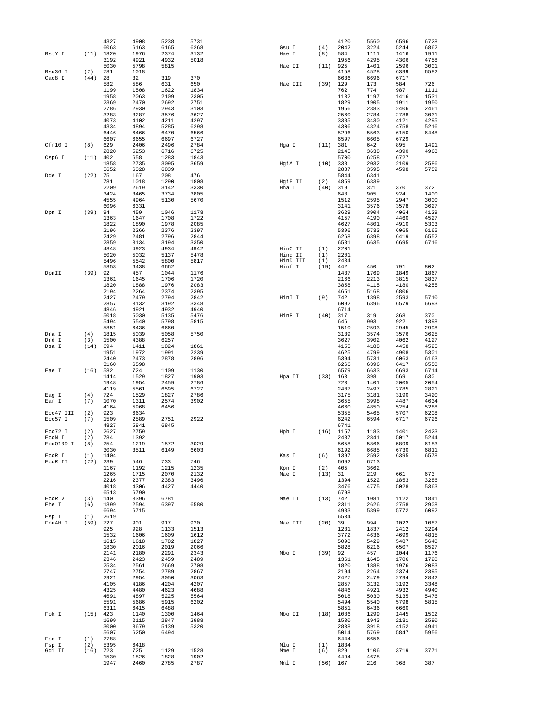|                      |            | 4327         | 4908         | 5238         | 5731         |                |            | 4120         | 5560         | 6596         | 6728         |
|----------------------|------------|--------------|--------------|--------------|--------------|----------------|------------|--------------|--------------|--------------|--------------|
| BstY I               | (11)       | 6063         | 6163<br>1976 | 6165<br>2374 | 6268<br>3132 | Gsu I<br>Hae I | (4)<br>(8) | 2042<br>584  | 3224<br>1111 | 5244<br>1416 | 6862<br>1911 |
|                      |            | 1820<br>3192 | 4921         | 4932         | 5018         |                |            | 1956         | 4295         | 4306         | 4758         |
|                      |            | 5030         | 5798         | 5815         |              | Hae II         | (11)       | 925          | 1401         | 2596         | 3001         |
| Bsu36 I              | (2)        | 781          | 1018         |              |              |                |            | 4158         | 4528         | 6399         | 6582         |
| Cac8 I               | (44)       | 28           | 32           | 319          | 370          |                |            | 6636         | 6696         | 6717         |              |
|                      |            | 582          | 586          | 631          | 650          | Hae III        | (39)       | 129          | 173          | 584          | 726          |
|                      |            | 1199         | 1508         | 1622         | 1834         |                |            | 762          | 774          | 987          | 1111         |
|                      |            | 1958         | 2063         | 2109         | 2305         |                |            | 1132         | 1197         | 1416         | 1531         |
|                      |            | 2369<br>2786 | 2470<br>2930 | 2692<br>2943 | 2751<br>3103 |                |            | 1829<br>1956 | 1905         | 1911<br>2406 | 1950<br>2461 |
|                      |            | 3283         | 3287         | 3576         | 3627         |                |            | 2560         | 2383<br>2784 | 2788         | 3031         |
|                      |            | 4073         | 4102         | 4211         | 4297         |                |            | 3385         | 3430         | 4121         | 4295         |
|                      |            | 4334         | 4894         | 5285         | 6298         |                |            | 4306         | 4324         | 4758         | 5216         |
|                      |            | 6446         | 6466         | 6470         | 6566         |                |            | 5296         | 5563         | 6150         | 6448         |
|                      |            | 6607         | 6655         | 6697         | 6727         |                |            | 6597         | 6605         | 6729         |              |
| Cfr10 I              | (8)        | 629          | 2406         | 2496         | 2784         | Hqa I          | (11)       | 381          | 642          | 895          | 1491         |
|                      |            | 2820         | 5253         | 6716         | 6725         |                |            | 2145         | 3638         | 4390         | 4968         |
| Csp6 I               | (11)       | 402          | 658          | 1283         | 1843         |                |            | 5700         | 6258         | 6727         |              |
|                      |            | 1858         | 2735         | 3095         | 3659         | HgiA I         | (10)       | 338          | 2032         | 2109         | 2586         |
| Dde I                | (22)       | 5652<br>75   | 6328<br>167  | 6839<br>208  | 476          |                |            | 2887<br>5844 | 3595<br>6341 | 4598         | 5759         |
|                      |            | 781          | 1018         | 1290         | 1808         | HgiE II        | (2)        | 4859         | 6339         |              |              |
|                      |            | 2209         | 2619         | 3142         | 3330         | Hha I          | (40)       | 319          | 321          | 370          | 372          |
|                      |            | 3424         | 3465         | 3734         | 3805         |                |            | 648          | 905          | 924          | 1400         |
|                      |            | 4555         | 4964         | 5130         | 5670         |                |            | 1512         | 2595         | 2947         | 3000         |
|                      |            | 6096         | 6331         |              |              |                |            | 3141         | 3576         | 3578         | 3627         |
| Dpn I                | (39)       | 94           | 459          | 1046         | 1178         |                |            | 3629         | 3904         | 4064         | 4129         |
|                      |            | 1363         | 1647         | 1708         | 1722         |                |            | 4157         | 4190         | 4460         | 4527         |
|                      |            | 1822         | 1890         | 1978         | 2085         |                |            | 4627         | 4801         | 4910         | 5303         |
|                      |            | 2196         | 2266         | 2376         | 2397<br>2844 |                |            | 5396         | 5733         | 6065         | 6165         |
|                      |            | 2429<br>2859 | 2481<br>3134 | 2796<br>3194 | 3350         |                |            | 6268<br>6581 | 6398<br>6635 | 6419<br>6695 | 6552<br>6716 |
|                      |            | 4848         | 4923         | 4934         | 4942         | HinC II        | (1)        | 2201         |              |              |              |
|                      |            | 5020         | 5032         | 5137         | 5478         | Hind II        | (1)        | 2201         |              |              |              |
|                      |            | 5496         | 5542         | 5800         | 5817         | HinD III       | (1)        | 2434         |              |              |              |
|                      |            | 5853         | 6438         | 6662         |              | Hinf I         | (19)       | 442          | 450          | 791          | 802          |
| DpnII                | (39)       | 92           | 457          | 1044         | 1176         |                |            | 1437         | 1769         | 1849         | 1867         |
|                      |            | 1361         | 1645         | 1706         | 1720         |                |            | 2166         | 2213         | 3815         | 3837         |
|                      |            | 1820         | 1888         | 1976         | 2083         |                |            | 3858         | 4115         | 4180         | 4255         |
|                      |            | 2194         | 2264         | 2374         | 2395         |                |            | 4651         | 5168         | 6806         |              |
|                      |            | 2427         | 2479         | 2794         | 2842         | HinI I         | (9)        | 742          | 1398         | 2593         | 5710         |
|                      |            | 2857         | 3132         | 3192         | 3348         |                |            | 6092         | 6396         | 6579         | 6693         |
|                      |            | 4846         | 4921         | 4932         | 4940         |                |            | 6714         |              |              |              |
|                      |            | 5018         | 5030         | 5135         | 5476         | HinP I         | (40)       | 317          | 319          | 368          | 370          |
|                      |            | 5494         | 5540         | 5798         | 5815         |                |            | 646          | 903          | 922          | 1398         |
|                      | (4)        | 5851<br>1815 | 6436<br>5039 | 6660<br>5058 | 5750         |                |            | 1510<br>3139 | 2593<br>3574 | 2945<br>3576 | 2998<br>3625 |
| Dra I<br>Drd I       | (3)        | 1500         | 4388         | 6257         |              |                |            | 3627         | 3902         | 4062         | 4127         |
| Dsa I                | (14)       | 694          | 1411         | 1824         | 1861         |                |            | 4155         | 4188         | 4458         | 4525         |
|                      |            | 1951         | 1972         | 1991         | 2239         |                |            | 4625         | 4799         | 4908         | 5301         |
|                      |            | 2440         | 2473         | 2878         | 2896         |                |            | 5394         | 5731         | 6063         | 6163         |
|                      |            | 3160         | 6598         |              |              |                |            | 6266         | 6396         | 6417         | 6550         |
| Eae I                | $(16)$ 582 |              | 724          | 1109         | 1130         |                |            | 6579         | 6633         | 6693         | 6714         |
|                      |            | 1414         | 1529         | 1827         | 1903         | Hpa II         | (33)       | 163          | 398          | 569          | 630          |
|                      |            | 1948         | 1954         | 2459         | 2786         |                |            | 723          | 1401         | 2005         | 2054         |
|                      |            | 4119         | 5561         | 6595         | 6727         |                |            | 2407         | 2497         | 2785         | 2821         |
| Eag I                | (4)        | 724          | 1529         | 1827         | 2786         |                |            | 3175         | 3181         | 3190         | 3420         |
| Ear I                | (7)        | 1070         | 1311         | 2574         | 3902         |                |            | 3655         | 3998         | 4487         | 4634         |
|                      |            | 4164         | 5968         | 6456         |              |                |            | 4660         | 4850         | 5254         | 5288         |
| Eco47 III<br>Eco57 I | (2)<br>(7) | 923<br>1509  | 6634<br>2589 | 2751         | 2922         |                |            | 5355<br>6242 | 5465<br>6594 | 5707<br>6717 | 6208<br>6726 |
|                      |            | 4827         | 5841         | 6845         |              |                |            | 6741         |              |              |              |
| Eco72 I              | (2)        | 2627         | 2759         |              |              | Hph I          | (16)       | 1157         | 1183         | 1401         | 2423         |
| ECON I               | (2)        | 784          | 1392         |              |              |                |            | 2487         | 2841         | 5017         | 5244         |
| Eco0109 I            | (8)        | 254          | 1219         | 1572         | 3029         |                |            | 5658         | 5866         | 5899         | 6183         |
|                      |            | 3030         | 3511         | 6149         | 6603         |                |            | 6192         | 6685         | 6730         | 6811         |
| EcoR I               | (1)        | 1404         |              |              |              | Kas I          | (6)        | 1397         | 2592         | 6395         | 6578         |
| ECOR II              | $(22)$ 239 |              | 546          | 733          | 746          |                |            | 6692         | 6713         |              |              |
|                      |            | 1167         | 1192         | 1215         | 1235         | Kpn I          | (2)        | 405          | 3662         |              |              |
|                      |            | 1265<br>2216 | 1715<br>2377 | 2070<br>2383 | 2132<br>3496 | Mae I          | (13) 31    | 1394         | 219<br>1522  | 661<br>1853  | 673<br>3286  |
|                      |            | 4018         | 4306         | 4427         | 4440         |                |            | 3476         | 4775         | 5028         | 5363         |
|                      |            | 6513         | 6790         |              |              |                |            | 6798         |              |              |              |
| ECOR V               | (3)        | 140          | 3396         | 6781         |              | Mae II         | (13) 742   |              | 1081         | 1122         | 1841         |
| Ehe I                | (6)        | 1399         | 2594         | 6397         | 6580         |                |            | 2311         | 2626         | 2758         | 2908         |
|                      |            | 6694         | 6715         |              |              |                |            | 4983         | 5399         | 5772         | 6092         |
| Esp I                | (1)        | 2619         |              |              |              |                |            | 6534         |              |              |              |
| Fnu4H I              | (59)       | 727          | 901          | 917          | 920          | Mae III        | $(20)$ 39  |              | 994          | 1022         | 1087         |
|                      |            | 925          | 928          | 1133         | 1513         |                |            | 1231         | 1837         | 2412         | 3294         |
|                      |            | 1532         | 1606         | 1609         | 1612         |                |            | 3772         | 4636         | 4699         | 4815         |
|                      |            | 1615         | 1618         | 1782         | 1827         |                |            | 5098         | 5429         | 5487         | 5640         |
|                      |            | 1830<br>2141 | 2016<br>2180 | 2019<br>2291 | 2066<br>2343 | Mbo I          | $(39)$ 92  | 5828         | 6216<br>457  | 6507<br>1044 | 6527<br>1176 |
|                      |            | 2346         | 2423         | 2459         | 2489         |                |            | 1361         | 1645         | 1706         | 1720         |
|                      |            | 2534         | 2561         | 2669         | 2708         |                |            | 1820         | 1888         | 1976         | 2083         |
|                      |            | 2747         | 2754         | 2789         | 2867         |                |            | 2194         | 2264         | 2374         | 2395         |
|                      |            | 2921         | 2954         | 3050         | 3063         |                |            | 2427         | 2479         | 2794         | 2842         |
|                      |            | 4105         | 4186         | 4204         | 4207         |                |            | 2857         | 3132         | 3192         | 3348         |
|                      |            | 4325         | 4480         | 4623         | 4688         |                |            | 4846         | 4921         | 4932         | 4940         |
|                      |            | 4691         | 4897         | 5225         | 5564         |                |            | 5018         | 5030         | 5135         | 5476         |
|                      |            | 5591         | 5686         | 5915         | 6202         |                |            | 5494         | 5540         | 5798         | 5815         |
|                      |            | 6311         | 6415         | 6488         |              |                |            | 5851         | 6436         | 6660         |              |
| Fok I                | $(15)$ 423 |              | 1140         | 1300         | 1464         | Mbo II         |            | $(18)$ 1086  | 1299         | 1445         | 1502         |
|                      |            | 1699         | 2115         | 2847         | 2988         |                |            | 1530         | 1943         | 2131         | 2590         |
|                      |            | 3000         | 3679<br>6250 | 5139<br>6494 | 5320         |                |            | 2838         | 3918         | 4152<br>5847 | 4941<br>5956 |
| Fse I                | (1)        | 5607<br>2788 |              |              |              |                |            | 5014<br>6444 | 5769<br>6656 |              |              |
| Fsp I                | (2)        | 5395         | 6418         |              |              | Mlu I          | (1)        | 1834         |              |              |              |
| Gdi II               | $(16)$ 723 |              | 725          | 1129         | 1528         | Mme I          | (6)        | 829          | 1106         | 3719         | 3771         |
|                      |            | 1530         | 1826         | 1828         | 1902         |                |            | 4494         | 4678         |              |              |
|                      |            | 1947         | 2460         | 2785         | 2787         | Mnl I          | $(56)$ 167 |              | 216          | 368          | 387          |
|                      |            |              |              |              |              |                |            |              |              |              |              |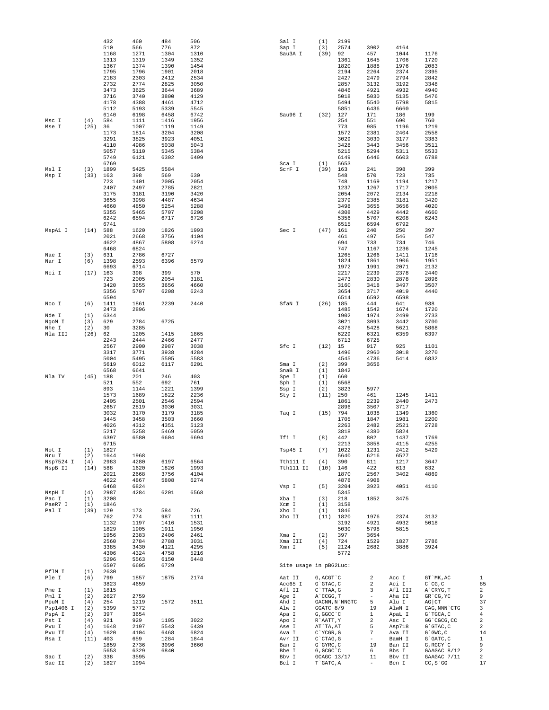|                  |                   | 432          | 460          | 484          | 506          | Sal I                  | (1)                     | 2199           |                          |                 |                                 |            |
|------------------|-------------------|--------------|--------------|--------------|--------------|------------------------|-------------------------|----------------|--------------------------|-----------------|---------------------------------|------------|
|                  |                   | 510<br>1168  | 566<br>1271  | 776<br>1304  | 872<br>1310  | Sap I<br>Sau3A I       | (3)<br>(39)             | 2574<br>92     | 3902<br>457              | 4164<br>1044    | 1176                            |            |
|                  |                   | 1313         | 1319         | 1349         | 1352         |                        |                         | 1361           | 1645                     | 1706            | 1720                            |            |
|                  |                   | 1367         | 1374         | 1390         | 1454         |                        |                         | 1820           | 1888                     | 1976            | 2083                            |            |
|                  |                   | 1795         | 1796         | 1901         | 2018         |                        |                         | 2194           | 2264                     | 2374            | 2395                            |            |
|                  |                   | 2183         | 2303         | 2412         | 2534         |                        |                         | 2427           | 2479                     | 2794            | 2842                            |            |
|                  |                   | 2732         | 2774         | 2825         | 3050         |                        |                         | 2857           | 3132                     | 3192            | 3348                            |            |
|                  |                   | 3473         | 3625         | 3644         | 3689         |                        |                         | 4846           | 4921                     | 4932            | 4940                            |            |
|                  |                   | 3716         | 3740         | 3800         | 4129         |                        |                         | 5018           | 5030                     | 5135            | 5476                            |            |
|                  |                   | 4178         | 4388         | 4461         | 4712         |                        |                         | 5494           | 5540                     | 5798            | 5815                            |            |
|                  |                   | 5112         | 5193         | 5339         | 5545         |                        |                         | 5851           | 6436                     | 6660            |                                 |            |
|                  |                   | 6140         | 6198         | 6458         | 6742         | Sau96 I                | (32)                    | 127            | 171                      | 186             | 199                             |            |
| Msc I            | (4)               | 584          | 1111         | 1416         | 1956         |                        |                         | 254            | 551                      | 690             | 760                             |            |
| Mse I            | (25)              | 36<br>1173   | 1007<br>1814 | 1119<br>3204 | 1149<br>3208 |                        |                         | 773<br>1572    | 985<br>2381              | 1196<br>2404    | 1219<br>2558                    |            |
|                  |                   | 3291         | 3825         | 3923         | 4051         |                        |                         | 3029           | 3030                     | 3177            | 3383                            |            |
|                  |                   | 4110         | 4986         | 5038         | 5043         |                        |                         | 3428           | 3443                     | 3456            | 3511                            |            |
|                  |                   | 5057         | 5110         | 5345         | 5384         |                        |                         | 5215           | 5294                     | 5311            | 5533                            |            |
|                  |                   | 5749         | 6121         | 6302         | 6499         |                        |                         | 6149           | 6446                     | 6603            | 6788                            |            |
|                  |                   | 6769         |              |              |              | Sca I                  | (1)                     | 5653           |                          |                 |                                 |            |
| Msl I            | (3)               | 1899         | 5425         | 5584         |              | ScrF I                 | (39)                    | 163            | 241                      | 398             | 399                             |            |
| Msp I            | $(33)$ 163        |              | 398          | 569          | 630          |                        |                         | 548            | 570                      | 723             | 735                             |            |
|                  |                   | 723          | 1401         | 2005         | 2054         |                        |                         | 748            | 1169                     | 1194            | 1217                            |            |
|                  |                   | 2407<br>3175 | 2497<br>3181 | 2785<br>3190 | 2821<br>3420 |                        |                         | 1237<br>2054   | 1267<br>2072             | 1717<br>2134    | 2005<br>2218                    |            |
|                  |                   | 3655         | 3998         | 4487         | 4634         |                        |                         | 2379           | 2385                     | 3181            | 3420                            |            |
|                  |                   | 4660         | 4850         | 5254         | 5288         |                        |                         | 3498           | 3655                     | 3656            | 4020                            |            |
|                  |                   | 5355         | 5465         | 5707         | 6208         |                        |                         | 4308           | 4429                     | 4442            | 4660                            |            |
|                  |                   | 6242         | 6594         | 6717         | 6726         |                        |                         | 5356           | 5707                     | 6208            | 6243                            |            |
|                  |                   | 6741         |              |              |              |                        |                         | 6515           | 6594                     | 6792            |                                 |            |
| MspA1 I          | $(14)$ 588        |              | 1620         | 1826         | 1993         | Sec I                  | $(47)$ 161              |                | 240                      | 250             | 397                             |            |
|                  |                   | 2021         | 2668         | 3756         | 4104         |                        |                         | 461            | 497                      | 546             | 547                             |            |
|                  |                   | 4622         | 4867         | 5808         | 6274         |                        |                         | 694            | 733                      | 734             | 746                             |            |
| Nae I            | (3)               | 6468<br>631  | 6824<br>2786 | 6727         |              |                        |                         | 747<br>1265    | 1167<br>1266             | 1236<br>1411    | 1245<br>1716                    |            |
| Nar I            | (6)               | 1398         | 2593         | 6396         | 6579         |                        |                         | 1824           | 1861                     | 1906            | 1951                            |            |
|                  |                   | 6693         | 6714         |              |              |                        |                         | 1972           | 1991                     | 2071            | 2132                            |            |
| Nci I            | (17)              | 163          | 398          | 399          | 570          |                        |                         | 2217           | 2239                     | 2378            | 2440                            |            |
|                  |                   | 723          | 2005         | 2054         | 3181         |                        |                         | 2473           | 2830                     | 2878            | 2896                            |            |
|                  |                   | 3420         | 3655         | 3656         | 4660         |                        |                         | 3160           | 3418                     | 3497            | 3507                            |            |
|                  |                   | 5356         | 5707         | 6208         | 6243         |                        |                         | 3654           | 3717                     | 4019            | 4440                            |            |
|                  |                   | 6594         |              |              |              |                        |                         | 6514           | 6592                     | 6598            |                                 |            |
| Nco I            | (6)               | 1411         | 1861         | 2239         | 2440         | SfaN I                 | $(26)$ 185              |                | 444                      | 641             | 938                             |            |
|                  |                   | 2473         | 2896         |              |              |                        |                         | 1485           | 1542                     | 1674            | 1720                            |            |
| Nde I            | (1)               | 6344<br>629  | 2784         | 6725         |              |                        |                         | 1902<br>3021   | 1974<br>3093             | 2499<br>3442    | 2733<br>3700                    |            |
| NgoM I<br>Nhe I  | (3)<br>(2)        | 30           | 3285         |              |              |                        |                         | 4376           | 5428                     | 5621            | 5868                            |            |
| Nla III          | (26)              | 62           | 1205         | 1415         | 1865         |                        |                         | 6229           | 6321                     | 6359            | 6397                            |            |
|                  |                   | 2243         | 2444         | 2466         | 2477         |                        |                         | 6713           | 6725                     |                 |                                 |            |
|                  |                   | 2567         | 2900         | 2987         | 3038         | Sfc I                  | (12)                    | 15             | 917                      | 925             | 1101                            |            |
|                  |                   | 3317         | 3771         | 3938         | 4284         |                        |                         | 1496           | 2960                     | 3018            | 3270                            |            |
|                  |                   | 5004         | 5495         | 5505         | 5583         |                        |                         | 4545           | 4736                     | 5414            | 6832                            |            |
|                  |                   | 5619         | 6012         | 6117         | 6201         | Sma I                  | (2)                     | 399            | 3656                     |                 |                                 |            |
|                  |                   | 6568         | 6641         |              |              | SnaB I                 | (1)                     | 1842           |                          |                 |                                 |            |
| Nla IV           | (45)              | 188          | 201          | 246          | 403          | Spe I                  | (1)                     | 660            |                          |                 |                                 |            |
|                  |                   | 521<br>893   | 552<br>1144  | 692<br>1221  | 761<br>1399  | Sph I                  | (1)<br>(2)              | 6568           | 5977                     |                 |                                 |            |
|                  |                   | 1573         | 1689         | 1822         | 2236         | Ssp I<br>Sty I         | (11)                    | 3823<br>250    | 461                      | 1245            | 1411                            |            |
|                  |                   | 2405         | 2501         | 2546         | 2594         |                        |                         | 1861           | 2239                     | 2440            | 2473                            |            |
|                  |                   | 2657         | 2819         | 3030         | 3031         |                        |                         | 2896           | 3507                     | 3717            |                                 |            |
|                  |                   | 3032         | 3170         | 3179         | 3185         | Taq I                  | $(15)$ 794              |                | 1038                     | 1349            | 1360                            |            |
|                  |                   | 3445         | 3458         | 3503         | 3660         |                        |                         | 1705           | 1847                     | 1981            | 2200                            |            |
|                  |                   | 4026         | 4312         | 4351         | 5123         |                        |                         | 2263           | 2482                     | 2521            | 2728                            |            |
|                  |                   | 5217         | 5258         | 5469         | 6059         |                        |                         | 3818           | 4380                     | 5824            |                                 |            |
|                  |                   | 6397         | 6580         | 6604         | 6694         | Tfi I                  | (8)                     | 442            | 802                      | 1437            | 1769                            |            |
| Not I            |                   | 6715         |              |              |              |                        |                         | 2213           | 3858                     | 4115            | 4255                            |            |
| Nru I            | (1)<br>(2)        | 1827<br>1644 | 1968         |              |              | Tsp45 I                | (7)                     | 1022<br>5640   | 1231<br>6216             | 2412<br>6527    | 5429                            |            |
| Nsp7524 I        | (4)               | 2983         | 4280         | 6197         | 6564         | Tth111 I               | (4)                     | 390            | 811                      | 1217            | 3647                            |            |
| NspB II          | (14)              | 588          | 1620         | 1826         | 1993         | Tth111 II              | (10)                    | 146            | 422                      | 613             | 632                             |            |
|                  |                   | 2021         | 2668         | 3756         | 4104         |                        |                         | 1870           | 2567                     | 3402            | 4869                            |            |
|                  |                   | 4622         | 4867         | 5808         | 6274         |                        |                         | 4878           | 4908                     |                 |                                 |            |
|                  |                   | 6468         | 6824         |              |              | Vsp I                  | (5)                     | 3204           | 3923                     | 4051            | 4110                            |            |
| NspH I           | (4)               | 2987         | 4284         | 6201         | 6568         |                        |                         | 5345           |                          |                 |                                 |            |
| Pac I            | (1)               | 3208         |              |              |              | Xba I                  | (3)                     | 218            | 1852                     | 3475            |                                 |            |
| PaeR7 I<br>Pal I | (1)<br>$(39)$ 129 | 1846         | 173          | 584          | 726          | Xcm I<br>Xho I         | (1)<br>(1)              | 3158<br>1846   |                          |                 |                                 |            |
|                  |                   | 762          | 774          | 987          | 1111         | Xho II                 |                         | $(11)$ 1820    | 1976                     | 2374            | 3132                            |            |
|                  |                   | 1132         | 1197         | 1416         | 1531         |                        |                         | 3192           | 4921                     | 4932            | 5018                            |            |
|                  |                   | 1829         | 1905         | 1911         | 1950         |                        |                         | 5030           | 5798                     | 5815            |                                 |            |
|                  |                   | 1956         | 2383         | 2406         | 2461         | Xma I                  | (2)                     | 397            | 3654                     |                 |                                 |            |
|                  |                   | 2560         | 2784         | 2788         | 3031         | Xma III                | (4)                     | 724            | 1529                     | 1827            | 2786                            |            |
|                  |                   | 3385         | 3430         | 4121         | 4295         | Xmn I                  | (5)                     | 2124           | 2682                     | 3886            | 3924                            |            |
|                  |                   | 4306         | 4324         | 4758         | 5216         |                        |                         | 5772           |                          |                 |                                 |            |
|                  |                   | 5296         | 5563         | 6150         | 6448         |                        |                         |                |                          |                 |                                 |            |
|                  |                   | 6597         | 6605         | 6729         |              | Site usage in pBG2Luc: |                         |                |                          |                 |                                 |            |
| PflM I           | (1)               | 2630         |              |              |              |                        |                         |                | 2                        |                 |                                 |            |
| Ple I            | (6)               | 799<br>3823  | 1857<br>4659 | 1875         | 2174         | Aat II<br>Acc65 I      | G, ACGT `C<br>G`GTAC, C |                | 2                        | Acc I<br>Aci I  | GT `MK, AC<br>$C^{\wedge}CG, C$ | 1<br>85    |
| Pme I            | (1)               | 1815         |              |              |              | Afl II                 | C`TTAA, G               |                | 3                        | Afl III         | A`CRYG, T                       | 2          |
| Pml I            | (2)               | 2627         | 2759         |              |              | Age I                  | A`CCGG, T               |                | $\overline{\phantom{a}}$ | Aha II          | GR CG, YC                       | 9          |
| PpuM I           | (4)               | 254          | 1219         | 1572         | 3511         | Ahd I                  |                         | GACNN, N`NNGTC | 5                        | Alu I           | $AG$ $CT$                       | 37         |
| Psp1406 I        | (2)               | 5399         | 5772         |              |              | Alw I                  | GGATC 8/9               |                | 19                       | AlwN I          | CAG, NNN CTG                    | 3          |
| PspA I           | (2)               | 397          | 3654         |              |              | Apa I                  | G, GGCC `C              |                | $\mathbf{1}$             | ApaL I          | G`TGCA, C                       | 4          |
| Pst I            | (4)               | 921          | 929          | 1105         | 3022         | Apo I                  | R`AATT, Y               |                | $\overline{a}$           | Asc I           | GG `CGCG, CC                    | $\,2$      |
| Pvu I            | (4)               | 1648         | 2197         | 5543         | 6439         | Ase I                  | AT`TA, AT               |                | 5                        | Asp718          | $G$ $GTAC$ , $C$                | $\,2$      |
| Pvu II           | (4)               | 1620         | 4104         | 6468         | 6824         | Ava I                  | C`YCGR, G               |                | 7                        | Ava II          | $G$ $GWC$ , $C$                 | 14         |
| Rsa I            | (11)              | 403          | 659          | 1284         | 1844         | Avr II                 | $C$ $CTAG$ , $G$        |                | $\sim$                   | BamH I          | G`GATC, C                       | 1          |
|                  |                   | 1859<br>5653 | 2736<br>6329 | 3096<br>6840 | 3660         | Ban I<br>Bbe I         | G`GYRC, C<br>G, GCGC `C |                | 19<br>6                  | Ban II<br>Bbs I | G, RGCY `C<br>GAAGAC 8/12       | 9<br>$\,2$ |
| Sac I            | (2)               | 338          | 3595         |              |              | Bbv I                  | GCAGC 13/17             |                | 11                       | Bbv II          | GAAGAC 7/11                     | 2          |
| Sac II           | (2)               | 1827         | 1994         |              |              | Bcl I                  | T`GATC, A               |                |                          | Bcn I           | $CC, S$ GG                      | 17         |
|                  |                   |              |              |              |              |                        |                         |                |                          |                 |                                 |            |